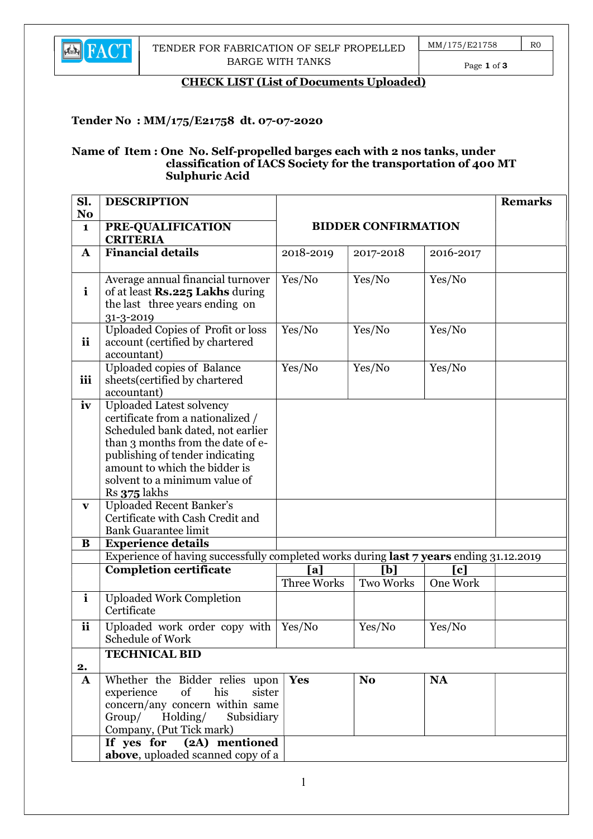

#### CHECK LIST (List of Documents Uploaded)

### Tender No : MM/175/E21758 dt. 07-07-2020

#### Name of Item : One No. Self-propelled barges each with 2 nos tanks, under classification of IACS Society for the transportation of 400 MT Sulphuric Acid

| Sl.            | <b>DESCRIPTION</b>                                                                                                                                                                                                                                                  |                            |                                    |                 | <b>Remarks</b> |
|----------------|---------------------------------------------------------------------------------------------------------------------------------------------------------------------------------------------------------------------------------------------------------------------|----------------------------|------------------------------------|-----------------|----------------|
| N <sub>o</sub> |                                                                                                                                                                                                                                                                     |                            |                                    |                 |                |
| $\mathbf{1}$   | PRE-QUALIFICATION<br><b>CRITERIA</b>                                                                                                                                                                                                                                | <b>BIDDER CONFIRMATION</b> |                                    |                 |                |
| $\mathbf A$    | <b>Financial details</b>                                                                                                                                                                                                                                            | 2018-2019                  | 2017-2018                          | 2016-2017       |                |
| $\mathbf{i}$   | Average annual financial turnover<br>of at least Rs.225 Lakhs during<br>the last three years ending on<br>31-3-2019                                                                                                                                                 | Yes/No                     | Yes/No                             | Yes/No          |                |
| <i>ii</i>      | <b>Uploaded Copies of Profit or loss</b><br>account (certified by chartered<br>accountant)                                                                                                                                                                          | Yes/No                     | Yes/No                             | Yes/No          |                |
| iii            | Uploaded copies of Balance<br>sheets (certified by chartered<br>accountant)                                                                                                                                                                                         | Yes/No                     | Yes/No                             | Yes/No          |                |
| iv             | <b>Uploaded Latest solvency</b><br>certificate from a nationalized /<br>Scheduled bank dated, not earlier<br>than 3 months from the date of e-<br>publishing of tender indicating<br>amount to which the bidder is<br>solvent to a minimum value of<br>Rs 375 lakhs |                            |                                    |                 |                |
| $\mathbf{v}$   | Uploaded Recent Banker's<br>Certificate with Cash Credit and<br><b>Bank Guarantee limit</b>                                                                                                                                                                         |                            |                                    |                 |                |
| B              | <b>Experience details</b>                                                                                                                                                                                                                                           |                            |                                    |                 |                |
|                | Experience of having successfully completed works during last 7 years ending 31.12.2019                                                                                                                                                                             |                            |                                    |                 |                |
|                | <b>Completion certificate</b>                                                                                                                                                                                                                                       | [a]<br>Three Works         | $\mathsf{[b]}$<br><b>Two Works</b> | [c]<br>One Work |                |
| $\mathbf{i}$   | <b>Uploaded Work Completion</b><br>Certificate                                                                                                                                                                                                                      |                            |                                    |                 |                |
| <i>ii</i>      | Uploaded work order copy with<br>Schedule of Work                                                                                                                                                                                                                   | Yes/No                     | Yes/No                             | Yes/No          |                |
|                | <b>TECHNICAL BID</b>                                                                                                                                                                                                                                                |                            |                                    |                 |                |
| 2.             |                                                                                                                                                                                                                                                                     | <b>Yes</b>                 |                                    |                 |                |
| $\mathbf{A}$   | Whether the Bidder relies upon<br>of<br>his<br>experience<br>sister<br>concern/any concern within same<br>Group/ Holding/<br>Subsidiary<br>Company, (Put Tick mark)                                                                                                 |                            | N <sub>o</sub>                     | <b>NA</b>       |                |
|                | If yes for $\boxed{(2A)}$ mentioned<br>above, uploaded scanned copy of a                                                                                                                                                                                            |                            |                                    |                 |                |
|                |                                                                                                                                                                                                                                                                     |                            |                                    |                 |                |
|                |                                                                                                                                                                                                                                                                     |                            |                                    |                 |                |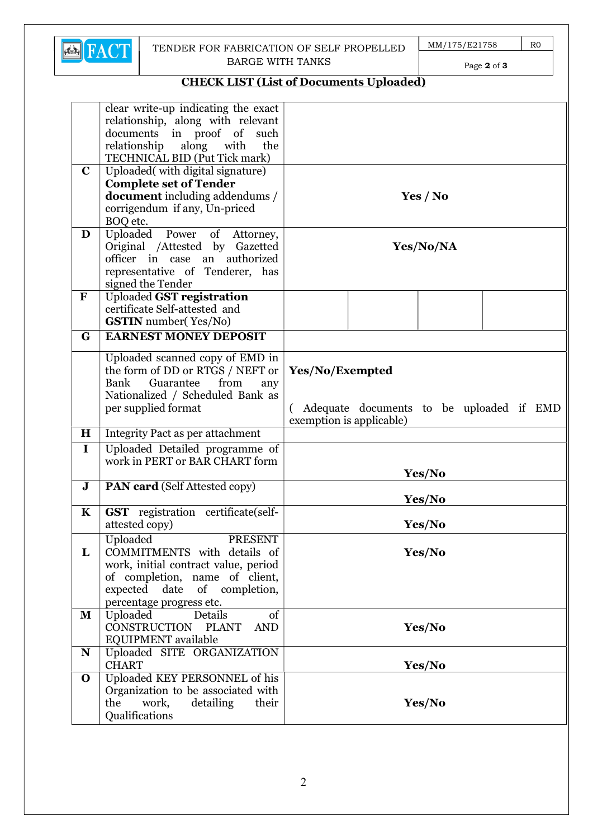

### TENDER FOR FABRICATION OF SELF PROPELLED BARGE WITH TANKS

 $MM/175/E21758$  RO

Page 2 of 3

# CHECK LIST (List of Documents Uploaded)

|              | clear write-up indicating the exact     |                                          |  |
|--------------|-----------------------------------------|------------------------------------------|--|
|              |                                         |                                          |  |
|              | relationship, along with relevant       |                                          |  |
|              | documents in proof of such              |                                          |  |
|              | relationship along<br>with<br>the       |                                          |  |
|              | TECHNICAL BID (Put Tick mark)           |                                          |  |
| $\mathbf C$  | Uploaded(with digital signature)        |                                          |  |
|              | <b>Complete set of Tender</b>           |                                          |  |
|              | <b>document</b> including addendums /   | Yes / No                                 |  |
|              | corrigendum if any, Un-priced           |                                          |  |
|              | BOQ etc.                                |                                          |  |
| D            | Uploaded Power of Attorney,             |                                          |  |
|              | Original /Attested by Gazetted          | Yes/No/NA                                |  |
|              | officer in case an authorized           |                                          |  |
|              | representative of Tenderer, has         |                                          |  |
|              | signed the Tender                       |                                          |  |
| $\mathbf F$  | <b>Uploaded GST registration</b>        |                                          |  |
|              | certificate Self-attested and           |                                          |  |
|              | <b>GSTIN</b> number(Yes/No)             |                                          |  |
|              |                                         |                                          |  |
| G            | <b>EARNEST MONEY DEPOSIT</b>            |                                          |  |
|              | Uploaded scanned copy of EMD in         |                                          |  |
|              | the form of DD or RTGS / NEFT or        | Yes/No/Exempted                          |  |
|              | Bank<br>Guarantee<br>from<br>any        |                                          |  |
|              | Nationalized / Scheduled Bank as        |                                          |  |
|              | per supplied format                     | Adequate documents to be uploaded if EMD |  |
|              |                                         | exemption is applicable)                 |  |
| $\bf H$      | <b>Integrity Pact as per attachment</b> |                                          |  |
| $\mathbf I$  | Uploaded Detailed programme of          |                                          |  |
|              | work in PERT or BAR CHART form          |                                          |  |
|              |                                         | Yes/No                                   |  |
| $\mathbf{J}$ | <b>PAN card</b> (Self Attested copy)    |                                          |  |
|              |                                         | Yes/No                                   |  |
| $\mathbf K$  | GST registration certificate(self-      |                                          |  |
|              | attested copy)                          | Yes/No                                   |  |
|              | Uploaded<br><b>PRESENT</b>              |                                          |  |
| $\mathbf L$  | COMMITMENTS with details of             | Yes/No                                   |  |
|              | work, initial contract value, period    |                                          |  |
|              | of completion, name of client,          |                                          |  |
|              | expected date<br>of completion,         |                                          |  |
|              | percentage progress etc.                |                                          |  |
| ${\bf M}$    | Details<br>Uploaded<br>of               |                                          |  |
|              | CONSTRUCTION PLANT<br><b>AND</b>        |                                          |  |
|              |                                         | Yes/No                                   |  |
|              | EQUIPMENT available                     |                                          |  |
| ${\bf N}$    | Uploaded SITE ORGANIZATION              |                                          |  |
|              | <b>CHART</b>                            | Yes/No                                   |  |
| $\mathbf 0$  | Uploaded KEY PERSONNEL of his           |                                          |  |
|              | Organization to be associated with      |                                          |  |
|              | work,<br>the<br>detailing<br>their      | Yes/No                                   |  |
|              | Qualifications                          |                                          |  |
|              |                                         |                                          |  |